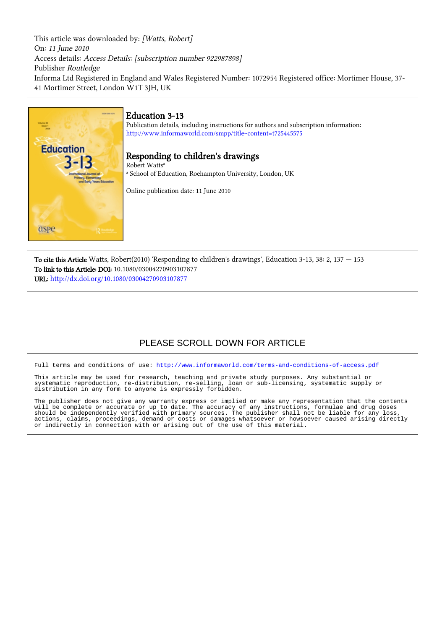This article was downloaded by: [Watts, Robert] On: 11 June 2010 Access details: Access Details: [subscription number 922987898] Publisher Routledge Informa Ltd Registered in England and Wales Registered Number: 1072954 Registered office: Mortimer House, 37- 41 Mortimer Street, London W1T 3JH, UK



# Education 3-13

Publication details, including instructions for authors and subscription information: <http://www.informaworld.com/smpp/title~content=t725445575>

# Responding to children's drawings

a School of Education, Roehampton University, London, UK

Online publication date: 11 June 2010

To cite this Article Watts, Robert(2010) 'Responding to children's drawings', Education 3-13, 38: 2, 137 — 153 To link to this Article: DOI: 10.1080/03004270903107877 URL: <http://dx.doi.org/10.1080/03004270903107877>

# PLEASE SCROLL DOWN FOR ARTICLE

Full terms and conditions of use:<http://www.informaworld.com/terms-and-conditions-of-access.pdf>

This article may be used for research, teaching and private study purposes. Any substantial or systematic reproduction, re-distribution, re-selling, loan or sub-licensing, systematic supply or distribution in any form to anyone is expressly forbidden.

The publisher does not give any warranty express or implied or make any representation that the contents will be complete or accurate or up to date. The accuracy of any instructions, formulae and drug doses should be independently verified with primary sources. The publisher shall not be liable for any loss, actions, claims, proceedings, demand or costs or damages whatsoever or howsoever caused arising directly or indirectly in connection with or arising out of the use of this material.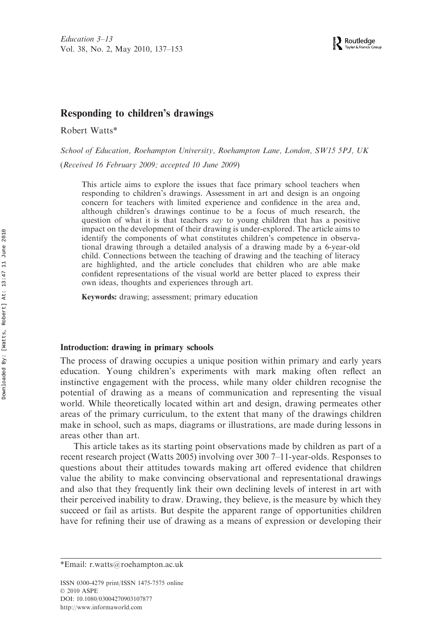### Responding to children's drawings

Robert Watts\*

School of Education, Roehampton University, Roehampton Lane, London, SW15 5PJ, UK

(Received 16 February 2009; accepted 10 June 2009)

This article aims to explore the issues that face primary school teachers when responding to children's drawings. Assessment in art and design is an ongoing concern for teachers with limited experience and confidence in the area and, although children's drawings continue to be a focus of much research, the question of what it is that teachers say to young children that has a positive impact on the development of their drawing is under-explored. The article aims to identify the components of what constitutes children's competence in observational drawing through a detailed analysis of a drawing made by a 6-year-old child. Connections between the teaching of drawing and the teaching of literacy are highlighted, and the article concludes that children who are able make confident representations of the visual world are better placed to express their own ideas, thoughts and experiences through art.

Keywords: drawing; assessment; primary education

#### Introduction: drawing in primary schools

The process of drawing occupies a unique position within primary and early years education. Young children's experiments with mark making often reflect an instinctive engagement with the process, while many older children recognise the potential of drawing as a means of communication and representing the visual world. While theoretically located within art and design, drawing permeates other areas of the primary curriculum, to the extent that many of the drawings children make in school, such as maps, diagrams or illustrations, are made during lessons in areas other than art.

This article takes as its starting point observations made by children as part of a recent research project (Watts 2005) involving over 300 7–11-year-olds. Responses to questions about their attitudes towards making art offered evidence that children value the ability to make convincing observational and representational drawings and also that they frequently link their own declining levels of interest in art with their perceived inability to draw. Drawing, they believe, is the measure by which they succeed or fail as artists. But despite the apparent range of opportunities children have for refining their use of drawing as a means of expression or developing their

<sup>\*</sup>Email: r.watts@roehampton.ac.uk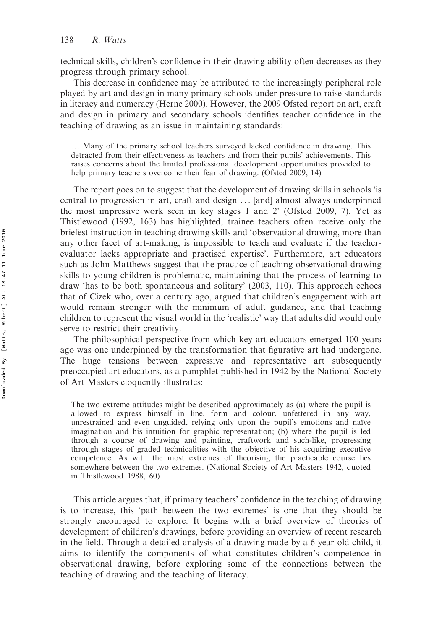technical skills, children's confidence in their drawing ability often decreases as they progress through primary school.

This decrease in confidence may be attributed to the increasingly peripheral role played by art and design in many primary schools under pressure to raise standards in literacy and numeracy (Herne 2000). However, the 2009 Ofsted report on art, craft and design in primary and secondary schools identifies teacher confidence in the teaching of drawing as an issue in maintaining standards:

. . . Many of the primary school teachers surveyed lacked confidence in drawing. This detracted from their effectiveness as teachers and from their pupils' achievements. This raises concerns about the limited professional development opportunities provided to help primary teachers overcome their fear of drawing. (Ofsted 2009, 14)

The report goes on to suggest that the development of drawing skills in schools 'is central to progression in art, craft and design . . . [and] almost always underpinned the most impressive work seen in key stages 1 and 2' (Ofsted 2009, 7). Yet as Thistlewood (1992, 163) has highlighted, trainee teachers often receive only the briefest instruction in teaching drawing skills and 'observational drawing, more than any other facet of art-making, is impossible to teach and evaluate if the teacherevaluator lacks appropriate and practised expertise'. Furthermore, art educators such as John Matthews suggest that the practice of teaching observational drawing skills to young children is problematic, maintaining that the process of learning to draw 'has to be both spontaneous and solitary' (2003, 110). This approach echoes that of Cizek who, over a century ago, argued that children's engagement with art would remain stronger with the minimum of adult guidance, and that teaching children to represent the visual world in the 'realistic' way that adults did would only serve to restrict their creativity.

The philosophical perspective from which key art educators emerged 100 years ago was one underpinned by the transformation that figurative art had undergone. The huge tensions between expressive and representative art subsequently preoccupied art educators, as a pamphlet published in 1942 by the National Society of Art Masters eloquently illustrates:

The two extreme attitudes might be described approximately as (a) where the pupil is allowed to express himself in line, form and colour, unfettered in any way, unrestrained and even unguided, relying only upon the pupil's emotions and naïve imagination and his intuition for graphic representation; (b) where the pupil is led through a course of drawing and painting, craftwork and such-like, progressing through stages of graded technicalities with the objective of his acquiring executive competence. As with the most extremes of theorising the practicable course lies somewhere between the two extremes. (National Society of Art Masters 1942, quoted in Thistlewood 1988, 60)

This article argues that, if primary teachers' confidence in the teaching of drawing is to increase, this 'path between the two extremes' is one that they should be strongly encouraged to explore. It begins with a brief overview of theories of development of children's drawings, before providing an overview of recent research in the field. Through a detailed analysis of a drawing made by a 6-year-old child, it aims to identify the components of what constitutes children's competence in observational drawing, before exploring some of the connections between the teaching of drawing and the teaching of literacy.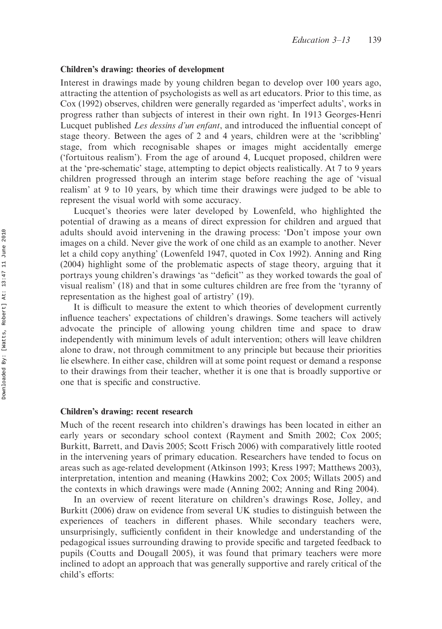#### Children's drawing: theories of development

Interest in drawings made by young children began to develop over 100 years ago, attracting the attention of psychologists as well as art educators. Prior to this time, as Cox (1992) observes, children were generally regarded as 'imperfect adults', works in progress rather than subjects of interest in their own right. In 1913 Georges-Henri Lucquet published Les dessins d'un enfant, and introduced the influential concept of stage theory. Between the ages of 2 and 4 years, children were at the 'scribbling' stage, from which recognisable shapes or images might accidentally emerge ('fortuitous realism'). From the age of around 4, Lucquet proposed, children were at the 'pre-schematic' stage, attempting to depict objects realistically. At 7 to 9 years children progressed through an interim stage before reaching the age of 'visual realism' at 9 to 10 years, by which time their drawings were judged to be able to represent the visual world with some accuracy.

Lucquet's theories were later developed by Lowenfeld, who highlighted the potential of drawing as a means of direct expression for children and argued that adults should avoid intervening in the drawing process: 'Don't impose your own images on a child. Never give the work of one child as an example to another. Never let a child copy anything' (Lowenfeld 1947, quoted in Cox 1992). Anning and Ring (2004) highlight some of the problematic aspects of stage theory, arguing that it portrays young children's drawings 'as ''deficit'' as they worked towards the goal of visual realism' (18) and that in some cultures children are free from the 'tyranny of representation as the highest goal of artistry' (19).

It is difficult to measure the extent to which theories of development currently influence teachers' expectations of children's drawings. Some teachers will actively advocate the principle of allowing young children time and space to draw independently with minimum levels of adult intervention; others will leave children alone to draw, not through commitment to any principle but because their priorities lie elsewhere. In either case, children will at some point request or demand a response to their drawings from their teacher, whether it is one that is broadly supportive or one that is specific and constructive.

#### Children's drawing: recent research

Much of the recent research into children's drawings has been located in either an early years or secondary school context (Rayment and Smith 2002; Cox 2005; Burkitt, Barrett, and Davis 2005; Scott Frisch 2006) with comparatively little rooted in the intervening years of primary education. Researchers have tended to focus on areas such as age-related development (Atkinson 1993; Kress 1997; Matthews 2003), interpretation, intention and meaning (Hawkins 2002; Cox 2005; Willats 2005) and the contexts in which drawings were made (Anning 2002; Anning and Ring 2004).

In an overview of recent literature on children's drawings Rose, Jolley, and Burkitt (2006) draw on evidence from several UK studies to distinguish between the experiences of teachers in different phases. While secondary teachers were, unsurprisingly, sufficiently confident in their knowledge and understanding of the pedagogical issues surrounding drawing to provide specific and targeted feedback to pupils (Coutts and Dougall 2005), it was found that primary teachers were more inclined to adopt an approach that was generally supportive and rarely critical of the child's efforts: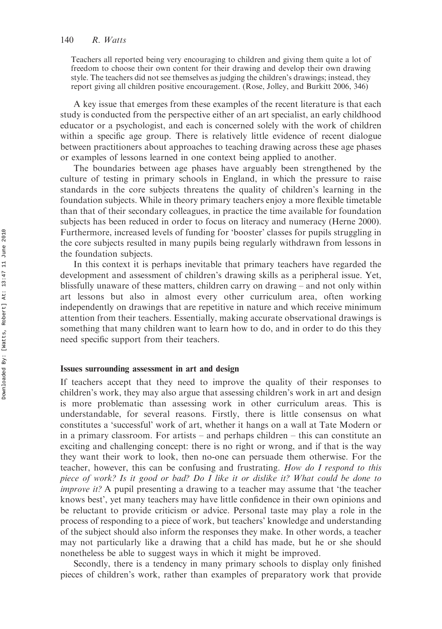Teachers all reported being very encouraging to children and giving them quite a lot of freedom to choose their own content for their drawing and develop their own drawing style. The teachers did not see themselves as judging the children's drawings; instead, they report giving all children positive encouragement. (Rose, Jolley, and Burkitt 2006, 346)

A key issue that emerges from these examples of the recent literature is that each study is conducted from the perspective either of an art specialist, an early childhood educator or a psychologist, and each is concerned solely with the work of children within a specific age group. There is relatively little evidence of recent dialogue between practitioners about approaches to teaching drawing across these age phases or examples of lessons learned in one context being applied to another.

The boundaries between age phases have arguably been strengthened by the culture of testing in primary schools in England, in which the pressure to raise standards in the core subjects threatens the quality of children's learning in the foundation subjects. While in theory primary teachers enjoy a more flexible timetable than that of their secondary colleagues, in practice the time available for foundation subjects has been reduced in order to focus on literacy and numeracy (Herne 2000). Furthermore, increased levels of funding for 'booster' classes for pupils struggling in the core subjects resulted in many pupils being regularly withdrawn from lessons in the foundation subjects.

In this context it is perhaps inevitable that primary teachers have regarded the development and assessment of children's drawing skills as a peripheral issue. Yet, blissfully unaware of these matters, children carry on drawing – and not only within art lessons but also in almost every other curriculum area, often working independently on drawings that are repetitive in nature and which receive minimum attention from their teachers. Essentially, making accurate observational drawings is something that many children want to learn how to do, and in order to do this they need specific support from their teachers.

#### Issues surrounding assessment in art and design

If teachers accept that they need to improve the quality of their responses to children's work, they may also argue that assessing children's work in art and design is more problematic than assessing work in other curriculum areas. This is understandable, for several reasons. Firstly, there is little consensus on what constitutes a 'successful' work of art, whether it hangs on a wall at Tate Modern or in a primary classroom. For artists – and perhaps children – this can constitute an exciting and challenging concept: there is no right or wrong, and if that is the way they want their work to look, then no-one can persuade them otherwise. For the teacher, however, this can be confusing and frustrating. How do I respond to this piece of work? Is it good or bad? Do I like it or dislike it? What could be done to improve it? A pupil presenting a drawing to a teacher may assume that 'the teacher knows best', yet many teachers may have little confidence in their own opinions and be reluctant to provide criticism or advice. Personal taste may play a role in the process of responding to a piece of work, but teachers' knowledge and understanding of the subject should also inform the responses they make. In other words, a teacher may not particularly like a drawing that a child has made, but he or she should nonetheless be able to suggest ways in which it might be improved.

Secondly, there is a tendency in many primary schools to display only finished pieces of children's work, rather than examples of preparatory work that provide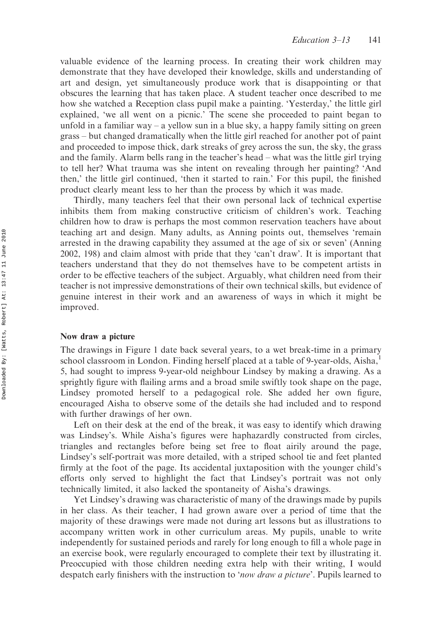valuable evidence of the learning process. In creating their work children may demonstrate that they have developed their knowledge, skills and understanding of art and design, yet simultaneously produce work that is disappointing or that obscures the learning that has taken place. A student teacher once described to me how she watched a Reception class pupil make a painting. 'Yesterday,' the little girl explained, 'we all went on a picnic.' The scene she proceeded to paint began to unfold in a familiar way – a yellow sun in a blue sky, a happy family sitting on green grass – but changed dramatically when the little girl reached for another pot of paint and proceeded to impose thick, dark streaks of grey across the sun, the sky, the grass and the family. Alarm bells rang in the teacher's head – what was the little girl trying to tell her? What trauma was she intent on revealing through her painting? 'And then,' the little girl continued, 'then it started to rain.' For this pupil, the finished product clearly meant less to her than the process by which it was made.

Thirdly, many teachers feel that their own personal lack of technical expertise inhibits them from making constructive criticism of children's work. Teaching children how to draw is perhaps the most common reservation teachers have about teaching art and design. Many adults, as Anning points out, themselves 'remain arrested in the drawing capability they assumed at the age of six or seven' (Anning 2002, 198) and claim almost with pride that they 'can't draw'. It is important that teachers understand that they do not themselves have to be competent artists in order to be effective teachers of the subject. Arguably, what children need from their teacher is not impressive demonstrations of their own technical skills, but evidence of genuine interest in their work and an awareness of ways in which it might be improved.

#### Now draw a picture

The drawings in Figure 1 date back several years, to a wet break-time in a primary school classroom in London. Finding herself placed at a table of 9-year-olds, Aisha,1 5, had sought to impress 9-year-old neighbour Lindsey by making a drawing. As a sprightly figure with flailing arms and a broad smile swiftly took shape on the page, Lindsey promoted herself to a pedagogical role. She added her own figure, encouraged Aisha to observe some of the details she had included and to respond with further drawings of her own.

Left on their desk at the end of the break, it was easy to identify which drawing was Lindsey's. While Aisha's figures were haphazardly constructed from circles, triangles and rectangles before being set free to float airily around the page, Lindsey's self-portrait was more detailed, with a striped school tie and feet planted firmly at the foot of the page. Its accidental juxtaposition with the younger child's efforts only served to highlight the fact that Lindsey's portrait was not only technically limited, it also lacked the spontaneity of Aisha's drawings.

Yet Lindsey's drawing was characteristic of many of the drawings made by pupils in her class. As their teacher, I had grown aware over a period of time that the majority of these drawings were made not during art lessons but as illustrations to accompany written work in other curriculum areas. My pupils, unable to write independently for sustained periods and rarely for long enough to fill a whole page in an exercise book, were regularly encouraged to complete their text by illustrating it. Preoccupied with those children needing extra help with their writing, I would despatch early finishers with the instruction to 'now draw a picture'. Pupils learned to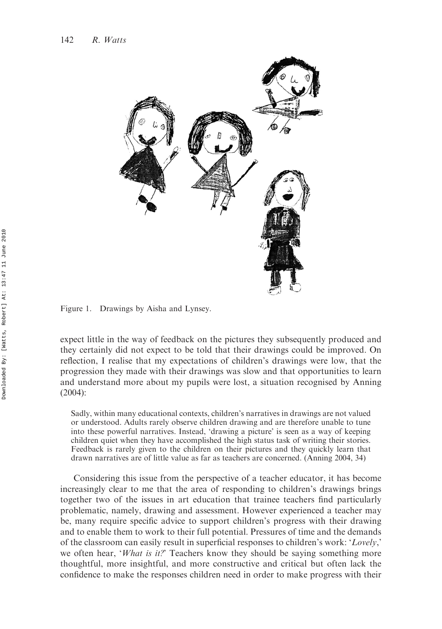

Figure 1. Drawings by Aisha and Lynsey.

expect little in the way of feedback on the pictures they subsequently produced and they certainly did not expect to be told that their drawings could be improved. On reflection, I realise that my expectations of children's drawings were low, that the progression they made with their drawings was slow and that opportunities to learn and understand more about my pupils were lost, a situation recognised by Anning (2004):

Sadly, within many educational contexts, children's narratives in drawings are not valued or understood. Adults rarely observe children drawing and are therefore unable to tune into these powerful narratives. Instead, 'drawing a picture' is seen as a way of keeping children quiet when they have accomplished the high status task of writing their stories. Feedback is rarely given to the children on their pictures and they quickly learn that drawn narratives are of little value as far as teachers are concerned. (Anning 2004, 34)

Considering this issue from the perspective of a teacher educator, it has become increasingly clear to me that the area of responding to children's drawings brings together two of the issues in art education that trainee teachers find particularly problematic, namely, drawing and assessment. However experienced a teacher may be, many require specific advice to support children's progress with their drawing and to enable them to work to their full potential. Pressures of time and the demands of the classroom can easily result in superficial responses to children's work: 'Lovely,' we often hear, 'What is it?' Teachers know they should be saying something more thoughtful, more insightful, and more constructive and critical but often lack the confidence to make the responses children need in order to make progress with their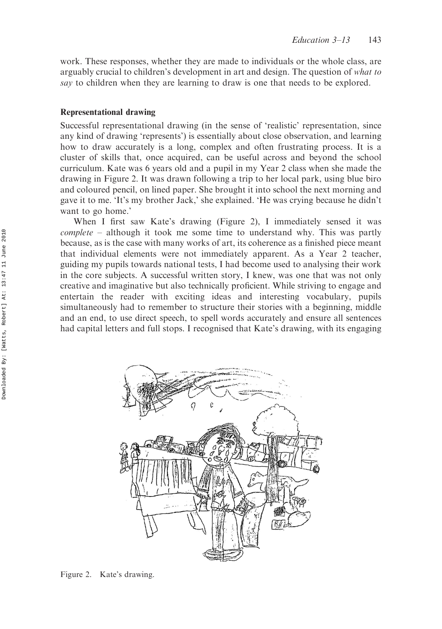work. These responses, whether they are made to individuals or the whole class, are arguably crucial to children's development in art and design. The question of what to say to children when they are learning to draw is one that needs to be explored.

#### Representational drawing

Successful representational drawing (in the sense of 'realistic' representation, since any kind of drawing 'represents') is essentially about close observation, and learning how to draw accurately is a long, complex and often frustrating process. It is a cluster of skills that, once acquired, can be useful across and beyond the school curriculum. Kate was 6 years old and a pupil in my Year 2 class when she made the drawing in Figure 2. It was drawn following a trip to her local park, using blue biro and coloured pencil, on lined paper. She brought it into school the next morning and gave it to me. 'It's my brother Jack,' she explained. 'He was crying because he didn't want to go home.'

When I first saw Kate's drawing (Figure 2), I immediately sensed it was complete – although it took me some time to understand why. This was partly because, as is the case with many works of art, its coherence as a finished piece meant that individual elements were not immediately apparent. As a Year 2 teacher, guiding my pupils towards national tests, I had become used to analysing their work in the core subjects. A successful written story, I knew, was one that was not only creative and imaginative but also technically proficient. While striving to engage and entertain the reader with exciting ideas and interesting vocabulary, pupils simultaneously had to remember to structure their stories with a beginning, middle and an end, to use direct speech, to spell words accurately and ensure all sentences had capital letters and full stops. I recognised that Kate's drawing, with its engaging



Figure 2. Kate's drawing.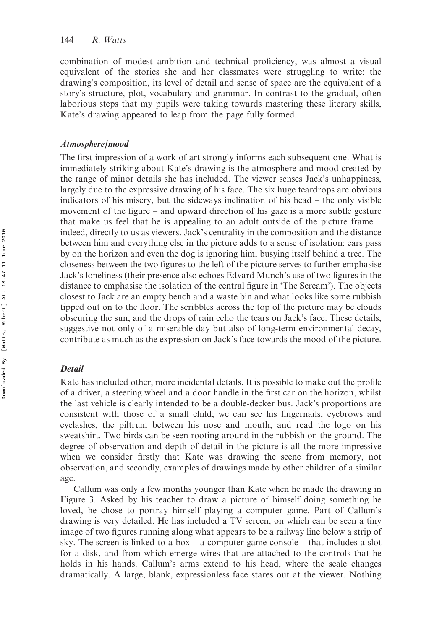combination of modest ambition and technical proficiency, was almost a visual equivalent of the stories she and her classmates were struggling to write: the drawing's composition, its level of detail and sense of space are the equivalent of a story's structure, plot, vocabulary and grammar. In contrast to the gradual, often laborious steps that my pupils were taking towards mastering these literary skills, Kate's drawing appeared to leap from the page fully formed.

#### Atmosphere/mood

The first impression of a work of art strongly informs each subsequent one. What is immediately striking about Kate's drawing is the atmosphere and mood created by the range of minor details she has included. The viewer senses Jack's unhappiness, largely due to the expressive drawing of his face. The six huge teardrops are obvious indicators of his misery, but the sideways inclination of his head – the only visible movement of the figure – and upward direction of his gaze is a more subtle gesture that make us feel that he is appealing to an adult outside of the picture frame – indeed, directly to us as viewers. Jack's centrality in the composition and the distance between him and everything else in the picture adds to a sense of isolation: cars pass by on the horizon and even the dog is ignoring him, busying itself behind a tree. The closeness between the two figures to the left of the picture serves to further emphasise Jack's loneliness (their presence also echoes Edvard Munch's use of two figures in the distance to emphasise the isolation of the central figure in 'The Scream'). The objects closest to Jack are an empty bench and a waste bin and what looks like some rubbish tipped out on to the floor. The scribbles across the top of the picture may be clouds obscuring the sun, and the drops of rain echo the tears on Jack's face. These details, suggestive not only of a miserable day but also of long-term environmental decay, contribute as much as the expression on Jack's face towards the mood of the picture.

#### **Detail**

Kate has included other, more incidental details. It is possible to make out the profile of a driver, a steering wheel and a door handle in the first car on the horizon, whilst the last vehicle is clearly intended to be a double-decker bus. Jack's proportions are consistent with those of a small child; we can see his fingernails, eyebrows and eyelashes, the piltrum between his nose and mouth, and read the logo on his sweatshirt. Two birds can be seen rooting around in the rubbish on the ground. The degree of observation and depth of detail in the picture is all the more impressive when we consider firstly that Kate was drawing the scene from memory, not observation, and secondly, examples of drawings made by other children of a similar age.

Callum was only a few months younger than Kate when he made the drawing in Figure 3. Asked by his teacher to draw a picture of himself doing something he loved, he chose to portray himself playing a computer game. Part of Callum's drawing is very detailed. He has included a TV screen, on which can be seen a tiny image of two figures running along what appears to be a railway line below a strip of sky. The screen is linked to a box – a computer game console – that includes a slot for a disk, and from which emerge wires that are attached to the controls that he holds in his hands. Callum's arms extend to his head, where the scale changes dramatically. A large, blank, expressionless face stares out at the viewer. Nothing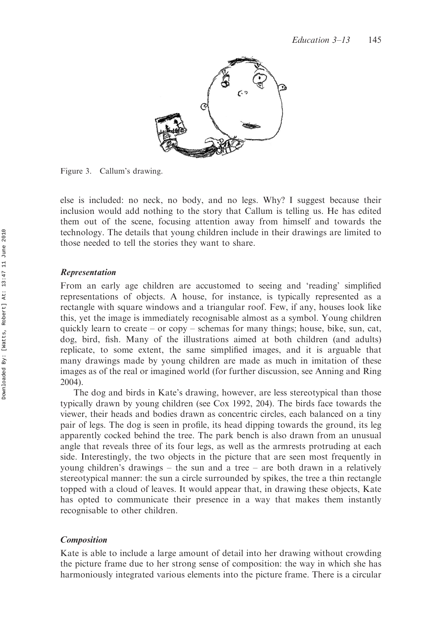

Figure 3. Callum's drawing.

else is included: no neck, no body, and no legs. Why? I suggest because their inclusion would add nothing to the story that Callum is telling us. He has edited them out of the scene, focusing attention away from himself and towards the technology. The details that young children include in their drawings are limited to those needed to tell the stories they want to share.

#### Representation

From an early age children are accustomed to seeing and 'reading' simplified representations of objects. A house, for instance, is typically represented as a rectangle with square windows and a triangular roof. Few, if any, houses look like this, yet the image is immediately recognisable almost as a symbol. Young children quickly learn to create – or copy – schemas for many things; house, bike, sun, cat, dog, bird, fish. Many of the illustrations aimed at both children (and adults) replicate, to some extent, the same simplified images, and it is arguable that many drawings made by young children are made as much in imitation of these images as of the real or imagined world (for further discussion, see Anning and Ring 2004).

The dog and birds in Kate's drawing, however, are less stereotypical than those typically drawn by young children (see Cox 1992, 204). The birds face towards the viewer, their heads and bodies drawn as concentric circles, each balanced on a tiny pair of legs. The dog is seen in profile, its head dipping towards the ground, its leg apparently cocked behind the tree. The park bench is also drawn from an unusual angle that reveals three of its four legs, as well as the armrests protruding at each side. Interestingly, the two objects in the picture that are seen most frequently in young children's drawings – the sun and a tree – are both drawn in a relatively stereotypical manner: the sun a circle surrounded by spikes, the tree a thin rectangle topped with a cloud of leaves. It would appear that, in drawing these objects, Kate has opted to communicate their presence in a way that makes them instantly recognisable to other children.

#### Composition

Kate is able to include a large amount of detail into her drawing without crowding the picture frame due to her strong sense of composition: the way in which she has harmoniously integrated various elements into the picture frame. There is a circular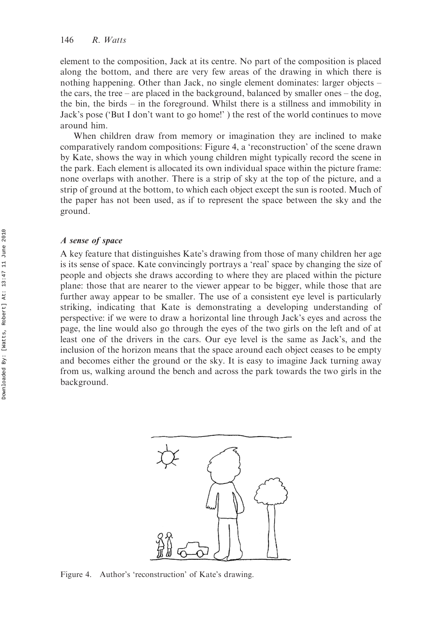element to the composition, Jack at its centre. No part of the composition is placed along the bottom, and there are very few areas of the drawing in which there is nothing happening. Other than Jack, no single element dominates: larger objects – the cars, the tree – are placed in the background, balanced by smaller ones – the dog, the bin, the birds – in the foreground. Whilst there is a stillness and immobility in Jack's pose ('But I don't want to go home!' ) the rest of the world continues to move around him.

When children draw from memory or imagination they are inclined to make comparatively random compositions: Figure 4, a 'reconstruction' of the scene drawn by Kate, shows the way in which young children might typically record the scene in the park. Each element is allocated its own individual space within the picture frame: none overlaps with another. There is a strip of sky at the top of the picture, and a strip of ground at the bottom, to which each object except the sun is rooted. Much of the paper has not been used, as if to represent the space between the sky and the ground.

#### A sense of space

A key feature that distinguishes Kate's drawing from those of many children her age is its sense of space. Kate convincingly portrays a 'real' space by changing the size of people and objects she draws according to where they are placed within the picture plane: those that are nearer to the viewer appear to be bigger, while those that are further away appear to be smaller. The use of a consistent eye level is particularly striking, indicating that Kate is demonstrating a developing understanding of perspective: if we were to draw a horizontal line through Jack's eyes and across the page, the line would also go through the eyes of the two girls on the left and of at least one of the drivers in the cars. Our eye level is the same as Jack's, and the inclusion of the horizon means that the space around each object ceases to be empty and becomes either the ground or the sky. It is easy to imagine Jack turning away from us, walking around the bench and across the park towards the two girls in the background.



Figure 4. Author's 'reconstruction' of Kate's drawing.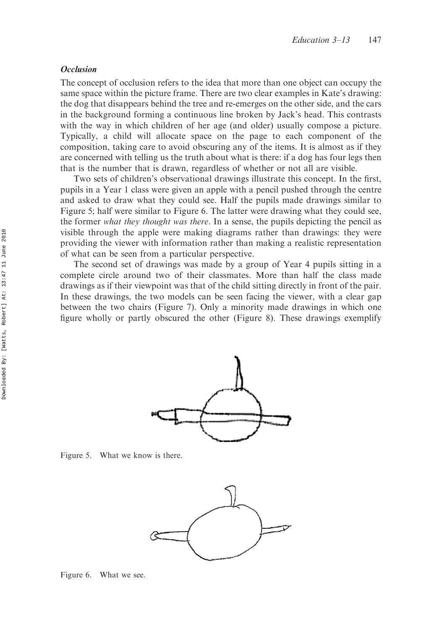#### **Occlusion**

The concept of occlusion refers to the idea that more than one object can occupy the same space within the picture frame. There are two clear examples in Kate's drawing: the dog that disappears behind the tree and re-emerges on the other side, and the cars in the background forming a continuous line broken by Jack's head. This contrasts with the way in which children of her age (and older) usually compose a picture. Typically, a child will allocate space on the page to each component of the composition, taking care to avoid obscuring any of the items. It is almost as if they are concerned with telling us the truth about what is there: if a dog has four legs then that is the number that is drawn, regardless of whether or not all are visible.

Two sets of children's observational drawings illustrate this concept. In the first, pupils in a Year 1 class were given an apple with a pencil pushed through the centre and asked to draw what they could see. Half the pupils made drawings similar to Figure 5; half were similar to Figure 6. The latter were drawing what they could see, the former what they thought was there. In a sense, the pupils depicting the pencil as visible through the apple were making diagrams rather than drawings: they were providing the viewer with information rather than making a realistic representation of what can be seen from a particular perspective.

The second set of drawings was made by a group of Year 4 pupils sitting in a complete circle around two of their classmates. More than half the class made drawings as if their viewpoint was that of the child sitting directly in front of the pair. In these drawings, the two models can be seen facing the viewer, with a clear gap between the two chairs (Figure 7). Only a minority made drawings in which one figure wholly or partly obscured the other (Figure 8). These drawings exemplify



Figure 5. What we know is there.



Figure 6. What we see.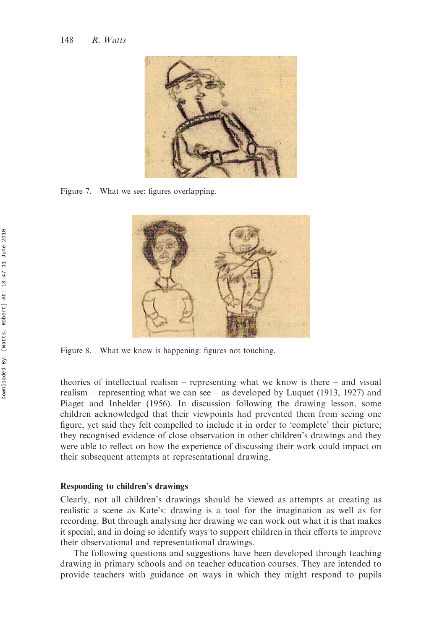

Figure 7. What we see: figures overlapping.



Figure 8. What we know is happening: figures not touching.

theories of intellectual realism – representing what we know is there – and visual realism – representing what we can see – as developed by Luquet (1913, 1927) and Piaget and Inhelder (1956). In discussion following the drawing lesson, some children acknowledged that their viewpoints had prevented them from seeing one figure, yet said they felt compelled to include it in order to 'complete' their picture; they recognised evidence of close observation in other children's drawings and they were able to reflect on how the experience of discussing their work could impact on their subsequent attempts at representational drawing.

#### Responding to children's drawings

Clearly, not all children's drawings should be viewed as attempts at creating as realistic a scene as Kate's: drawing is a tool for the imagination as well as for recording. But through analysing her drawing we can work out what it is that makes it special, and in doing so identify ways to support children in their efforts to improve their observational and representational drawings.

The following questions and suggestions have been developed through teaching drawing in primary schools and on teacher education courses. They are intended to provide teachers with guidance on ways in which they might respond to pupils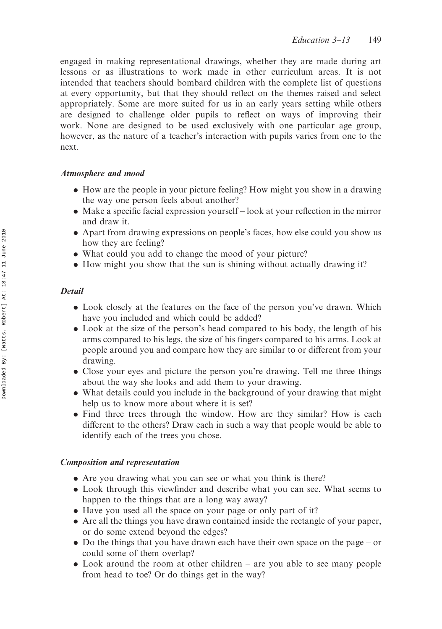engaged in making representational drawings, whether they are made during art lessons or as illustrations to work made in other curriculum areas. It is not intended that teachers should bombard children with the complete list of questions at every opportunity, but that they should reflect on the themes raised and select appropriately. Some are more suited for us in an early years setting while others are designed to challenge older pupils to reflect on ways of improving their work. None are designed to be used exclusively with one particular age group, however, as the nature of a teacher's interaction with pupils varies from one to the next.

### Atmosphere and mood

- . How are the people in your picture feeling? How might you show in a drawing the way one person feels about another?
- . Make a specific facial expression yourself look at your reflection in the mirror and draw it.
- . Apart from drawing expressions on people's faces, how else could you show us how they are feeling?
- . What could you add to change the mood of your picture?
- . How might you show that the sun is shining without actually drawing it?

## Detail

- . Look closely at the features on the face of the person you've drawn. Which have you included and which could be added?
- . Look at the size of the person's head compared to his body, the length of his arms compared to his legs, the size of his fingers compared to his arms. Look at people around you and compare how they are similar to or different from your drawing.
- . Close your eyes and picture the person you're drawing. Tell me three things about the way she looks and add them to your drawing.
- . What details could you include in the background of your drawing that might help us to know more about where it is set?
- . Find three trees through the window. How are they similar? How is each different to the others? Draw each in such a way that people would be able to identify each of the trees you chose.

## Composition and representation

- . Are you drawing what you can see or what you think is there?
- . Look through this viewfinder and describe what you can see. What seems to happen to the things that are a long way away?
- . Have you used all the space on your page or only part of it?
- . Are all the things you have drawn contained inside the rectangle of your paper, or do some extend beyond the edges?
- . Do the things that you have drawn each have their own space on the page or could some of them overlap?
- . Look around the room at other children are you able to see many people from head to toe? Or do things get in the way?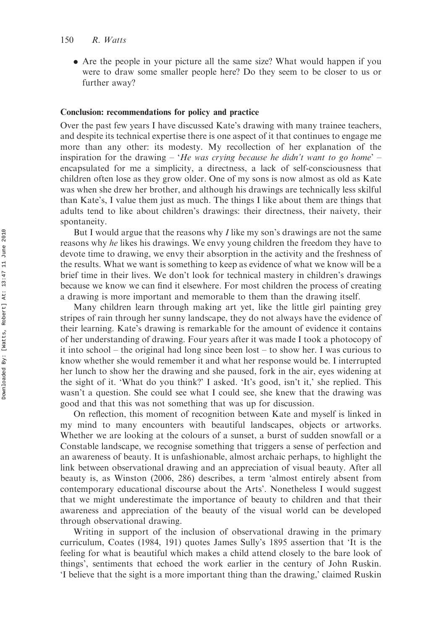. Are the people in your picture all the same size? What would happen if you were to draw some smaller people here? Do they seem to be closer to us or further away?

#### Conclusion: recommendations for policy and practice

Over the past few years I have discussed Kate's drawing with many trainee teachers, and despite its technical expertise there is one aspect of it that continues to engage me more than any other: its modesty. My recollection of her explanation of the inspiration for the drawing – 'He was crying because he didn't want to go home' – encapsulated for me a simplicity, a directness, a lack of self-consciousness that children often lose as they grow older. One of my sons is now almost as old as Kate was when she drew her brother, and although his drawings are technically less skilful than Kate's, I value them just as much. The things I like about them are things that adults tend to like about children's drawings: their directness, their naivety, their spontaneity.

But I would argue that the reasons why I like my son's drawings are not the same reasons why he likes his drawings. We envy young children the freedom they have to devote time to drawing, we envy their absorption in the activity and the freshness of the results. What we want is something to keep as evidence of what we know will be a brief time in their lives. We don't look for technical mastery in children's drawings because we know we can find it elsewhere. For most children the process of creating a drawing is more important and memorable to them than the drawing itself.

Many children learn through making art yet, like the little girl painting grey stripes of rain through her sunny landscape, they do not always have the evidence of their learning. Kate's drawing is remarkable for the amount of evidence it contains of her understanding of drawing. Four years after it was made I took a photocopy of it into school – the original had long since been lost – to show her. I was curious to know whether she would remember it and what her response would be. I interrupted her lunch to show her the drawing and she paused, fork in the air, eyes widening at the sight of it. 'What do you think?' I asked. 'It's good, isn't it,' she replied. This wasn't a question. She could see what I could see, she knew that the drawing was good and that this was not something that was up for discussion.

On reflection, this moment of recognition between Kate and myself is linked in my mind to many encounters with beautiful landscapes, objects or artworks. Whether we are looking at the colours of a sunset, a burst of sudden snowfall or a Constable landscape, we recognise something that triggers a sense of perfection and an awareness of beauty. It is unfashionable, almost archaic perhaps, to highlight the link between observational drawing and an appreciation of visual beauty. After all beauty is, as Winston (2006, 286) describes, a term 'almost entirely absent from contemporary educational discourse about the Arts'. Nonetheless I would suggest that we might underestimate the importance of beauty to children and that their awareness and appreciation of the beauty of the visual world can be developed through observational drawing.

Writing in support of the inclusion of observational drawing in the primary curriculum, Coates (1984, 191) quotes James Sully's 1895 assertion that 'It is the feeling for what is beautiful which makes a child attend closely to the bare look of things', sentiments that echoed the work earlier in the century of John Ruskin. 'I believe that the sight is a more important thing than the drawing,' claimed Ruskin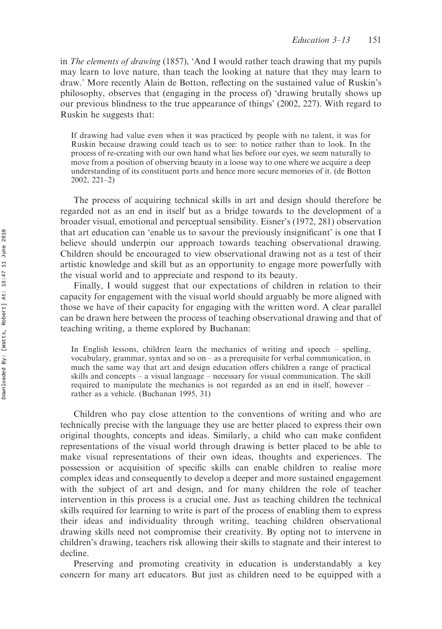in The elements of drawing (1857), 'And I would rather teach drawing that my pupils may learn to love nature, than teach the looking at nature that they may learn to draw.' More recently Alain de Botton, reflecting on the sustained value of Ruskin's philosophy, observes that (engaging in the process of) 'drawing brutally shows up our previous blindness to the true appearance of things' (2002, 227). With regard to Ruskin he suggests that:

If drawing had value even when it was practiced by people with no talent, it was for Ruskin because drawing could teach us to see: to notice rather than to look. In the process of re-creating with our own hand what lies before our eyes, we seem naturally to move from a position of observing beauty in a loose way to one where we acquire a deep understanding of its constituent parts and hence more secure memories of it. (de Botton 2002, 221–2)

The process of acquiring technical skills in art and design should therefore be regarded not as an end in itself but as a bridge towards to the development of a broader visual, emotional and perceptual sensibility. Eisner's (1972, 281) observation that art education can 'enable us to savour the previously insignificant' is one that I believe should underpin our approach towards teaching observational drawing. Children should be encouraged to view observational drawing not as a test of their artistic knowledge and skill but as an opportunity to engage more powerfully with the visual world and to appreciate and respond to its beauty.

Finally, I would suggest that our expectations of children in relation to their capacity for engagement with the visual world should arguably be more aligned with those we have of their capacity for engaging with the written word. A clear parallel can be drawn here between the process of teaching observational drawing and that of teaching writing, a theme explored by Buchanan:

In English lessons, children learn the mechanics of writing and speech – spelling, vocabulary, grammar, syntax and so on – as a prerequisite for verbal communication, in much the same way that art and design education offers children a range of practical skills and concepts – a visual language – necessary for visual communication. The skill required to manipulate the mechanics is not regarded as an end in itself, however – rather as a vehicle. (Buchanan 1995, 31)

Children who pay close attention to the conventions of writing and who are technically precise with the language they use are better placed to express their own original thoughts, concepts and ideas. Similarly, a child who can make confident representations of the visual world through drawing is better placed to be able to make visual representations of their own ideas, thoughts and experiences. The possession or acquisition of specific skills can enable children to realise more complex ideas and consequently to develop a deeper and more sustained engagement with the subject of art and design, and for many children the role of teacher intervention in this process is a crucial one. Just as teaching children the technical skills required for learning to write is part of the process of enabling them to express their ideas and individuality through writing, teaching children observational drawing skills need not compromise their creativity. By opting not to intervene in children's drawing, teachers risk allowing their skills to stagnate and their interest to decline.

Preserving and promoting creativity in education is understandably a key concern for many art educators. But just as children need to be equipped with a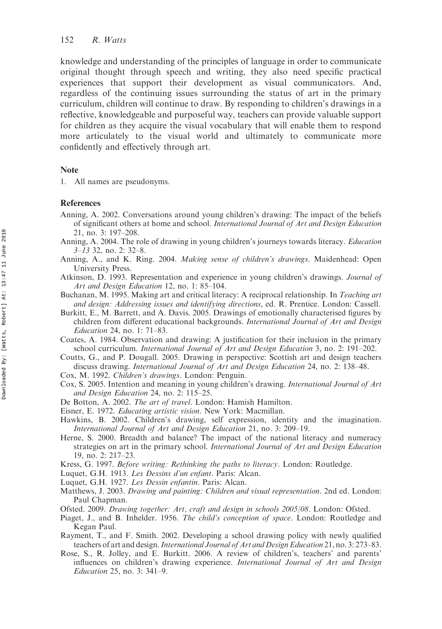knowledge and understanding of the principles of language in order to communicate original thought through speech and writing, they also need specific practical experiences that support their development as visual communicators. And, regardless of the continuing issues surrounding the status of art in the primary curriculum, children will continue to draw. By responding to children's drawings in a reflective, knowledgeable and purposeful way, teachers can provide valuable support for children as they acquire the visual vocabulary that will enable them to respond more articulately to the visual world and ultimately to communicate more confidently and effectively through art.

#### Note

1. All names are pseudonyms.

#### **References**

- Anning, A. 2002. Conversations around young children's drawing: The impact of the beliefs of significant others at home and school. International Journal of Art and Design Education 21, no. 3: 197–208.
- Anning, A. 2004. The role of drawing in young children's journeys towards literacy. Education 3–13 32, no. 2: 32–8.
- Anning, A., and K. Ring. 2004. Making sense of children's drawings. Maidenhead: Open University Press.
- Atkinson, D. 1993. Representation and experience in young children's drawings. Journal of Art and Design Education 12, no. 1: 85–104.
- Buchanan, M. 1995. Making art and critical literacy: A reciprocal relationship. In Teaching art and design: Addressing issues and identifying directions, ed. R. Prentice. London: Cassell.
- Burkitt, E., M. Barrett, and A. Davis. 2005. Drawings of emotionally characterised figures by children from different educational backgrounds. International Journal of Art and Design Education 24, no. 1: 71–83.
- Coates, A. 1984. Observation and drawing: A justification for their inclusion in the primary school curriculum. International Journal of Art and Design Education 3, no. 2: 191-202.
- Coutts, G., and P. Dougall. 2005. Drawing in perspective: Scottish art and design teachers discuss drawing. International Journal of Art and Design Education 24, no. 2: 138–48.
- Cox, M. 1992. Children's drawings. London: Penguin.
- Cox, S. 2005. Intention and meaning in young children's drawing. International Journal of Art and Design Education 24, no. 2: 115–25.
- De Botton, A. 2002. The art of travel. London: Hamish Hamilton.
- Eisner, E. 1972. Educating artistic vision. New York: Macmillan.
- Hawkins, B. 2002. Children's drawing, self expression, identity and the imagination. International Journal of Art and Design Education 21, no. 3: 209–19.
- Herne, S. 2000. Breadth and balance? The impact of the national literacy and numeracy strategies on art in the primary school. International Journal of Art and Design Education 19, no. 2: 217–23.
- Kress, G. 1997. Before writing: Rethinking the paths to literacy. London: Routledge.
- Luquet, G.H. 1913. Les Dessins d'un enfant. Paris: Alcan.
- Luquet, G.H. 1927. Les Dessin enfantin. Paris: Alcan.
- Matthews, J. 2003. Drawing and painting: Children and visual representation. 2nd ed. London: Paul Chapman.
- Ofsted. 2009. Drawing together: Art, craft and design in schools 2005/08. London: Ofsted.
- Piaget, J., and B. Inhelder. 1956. The child's conception of space. London: Routledge and Kegan Paul.
- Rayment, T., and F. Smith. 2002. Developing a school drawing policy with newly qualified teachers of art and design. International Journal of Art and Design Education 21, no. 3: 273–83.
- Rose, S., R. Jolley, and E. Burkitt. 2006. A review of children's, teachers' and parents' influences on children's drawing experience. International Journal of Art and Design Education 25, no. 3: 341–9.